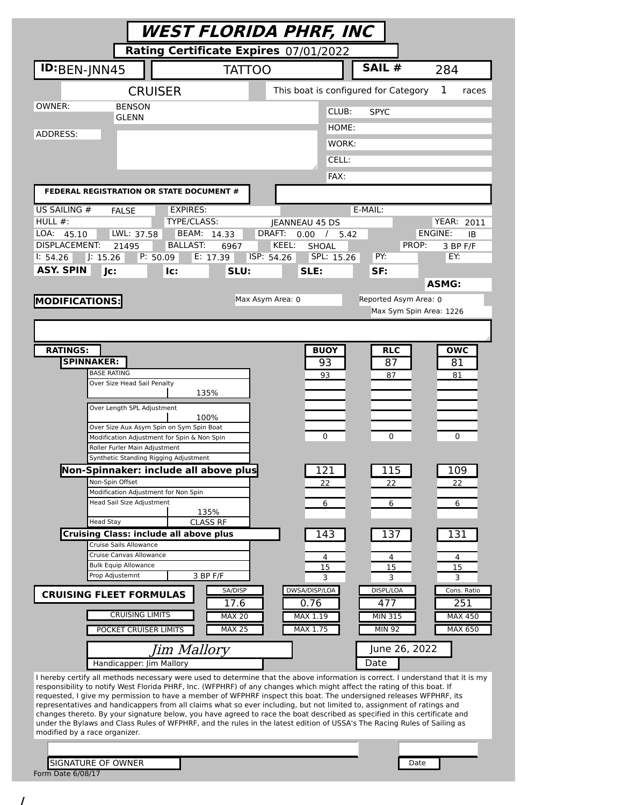|                                                                                                                                                                                                                                                       | WEST FLORIDA PHRF, INC                |                                      |                      |                              |  |
|-------------------------------------------------------------------------------------------------------------------------------------------------------------------------------------------------------------------------------------------------------|---------------------------------------|--------------------------------------|----------------------|------------------------------|--|
|                                                                                                                                                                                                                                                       | Rating Certificate Expires 07/01/2022 |                                      |                      |                              |  |
| ID:BEN-JNN45                                                                                                                                                                                                                                          | <b>TATTOO</b>                         |                                      | SAIL #               | 284                          |  |
| <b>CRUISER</b>                                                                                                                                                                                                                                        |                                       | This boat is configured for Category |                      | 1<br>races                   |  |
| OWNER:<br><b>BENSON</b>                                                                                                                                                                                                                               |                                       |                                      | CLUB:<br><b>SPYC</b> |                              |  |
| GLENN                                                                                                                                                                                                                                                 |                                       |                                      | HOME:                |                              |  |
| ADDRESS:                                                                                                                                                                                                                                              |                                       |                                      | WORK:                |                              |  |
|                                                                                                                                                                                                                                                       |                                       |                                      | CELL:                |                              |  |
|                                                                                                                                                                                                                                                       |                                       |                                      | FAX:                 |                              |  |
| FEDERAL REGISTRATION OR STATE DOCUMENT #                                                                                                                                                                                                              |                                       |                                      |                      |                              |  |
| US SAILING #<br><b>FALSE</b>                                                                                                                                                                                                                          | <b>EXPIRES:</b>                       |                                      | E-MAIL:              |                              |  |
| HULL $#$ :                                                                                                                                                                                                                                            | TYPE/CLASS:<br>BEAM: 14.33            | JEANNEAU 45 DS<br>DRAFT:             |                      | <b>YEAR: 2011</b><br>ENGINE: |  |
| LWL: 37.58<br>LOA:<br>45.10<br><b>DISPLACEMENT:</b><br>21495                                                                                                                                                                                          | <b>BALLAST:</b><br>6967               | $0.00$ / 5.42<br>KEEL:<br>SHOAL      |                      | ΙB<br>PROP:<br>3 BP F/F      |  |
| P: 50.09<br>J: 15.26<br>1: 54.26                                                                                                                                                                                                                      | E: 17.39                              | ISP: 54.26<br>SPL: 15.26             | PY:                  | EY:                          |  |
| <b>ASY. SPIN</b><br>Jc:<br>lc:                                                                                                                                                                                                                        | SLU:                                  | SLE:                                 | SF:                  |                              |  |
|                                                                                                                                                                                                                                                       |                                       |                                      |                      | <b>ASMG:</b>                 |  |
| <b>MODIFICATIONS:</b>                                                                                                                                                                                                                                 |                                       | Max Asym Area: 0                     |                      | Reported Asym Area: 0        |  |
|                                                                                                                                                                                                                                                       |                                       |                                      |                      | Max Sym Spin Area: 1226      |  |
|                                                                                                                                                                                                                                                       |                                       |                                      |                      |                              |  |
| <b>RATINGS:</b>                                                                                                                                                                                                                                       |                                       | <b>BUOY</b>                          |                      | <b>OWC</b><br><b>RLC</b>     |  |
| <b>SPINNAKER:</b>                                                                                                                                                                                                                                     |                                       | 93                                   |                      | 87<br>81                     |  |
| <b>BASE RATING</b><br>Over Size Head Sail Penalty                                                                                                                                                                                                     |                                       | 93                                   |                      | 81<br>87                     |  |
|                                                                                                                                                                                                                                                       | 135%                                  |                                      |                      |                              |  |
| Over Length SPL Adjustment                                                                                                                                                                                                                            |                                       |                                      |                      |                              |  |
| Over Size Aux Asym Spin on Sym Spin Boat                                                                                                                                                                                                              | 100%                                  |                                      |                      |                              |  |
| Modification Adjustment for Spin & Non Spin                                                                                                                                                                                                           |                                       | 0                                    |                      | 0<br>0                       |  |
| Roller Furler Main Adjustment<br>Synthetic Standing Rigging Adjustment                                                                                                                                                                                |                                       |                                      |                      |                              |  |
| Non-Spinnaker: include all above plus                                                                                                                                                                                                                 |                                       | 121                                  |                      | 109<br>115                   |  |
| Non-Spin Offset                                                                                                                                                                                                                                       |                                       | 22                                   |                      | 22<br>22                     |  |
| Modification Adjustment for Non Spin<br>Head Sail Size Adjustment                                                                                                                                                                                     |                                       | 6                                    |                      | 6<br>6                       |  |
|                                                                                                                                                                                                                                                       | 135%                                  |                                      |                      |                              |  |
| <b>Head Stay</b><br><b>Cruising Class: include all above plus</b>                                                                                                                                                                                     | <b>CLASS RF</b>                       | 143                                  |                      | 137<br>131                   |  |
| Cruise Sails Allowance                                                                                                                                                                                                                                |                                       |                                      |                      |                              |  |
| Cruise Canvas Allowance<br><b>Bulk Equip Allowance</b>                                                                                                                                                                                                |                                       | 4                                    |                      | 4<br>4                       |  |
| Prop Adjustemnt                                                                                                                                                                                                                                       | 3 BP F/F                              | 15<br>3                              |                      | 15<br>15<br>3<br>3           |  |
| <b>CRUISING FLEET FORMULAS</b>                                                                                                                                                                                                                        | SA/DISP                               | DWSA/DISP/LOA                        | DISPL/LOA            | Cons. Ratio                  |  |
| <b>CRUISING LIMITS</b>                                                                                                                                                                                                                                | 17.6<br><b>MAX 20</b>                 | 0.76<br>MAX 1.19                     | 477<br>MIN 315       | 251<br><b>MAX 450</b>        |  |
| POCKET CRUISER LIMITS                                                                                                                                                                                                                                 | <b>MAX 25</b>                         | MAX 1.75                             | <b>MIN 92</b>        | MAX 650                      |  |
|                                                                                                                                                                                                                                                       |                                       |                                      |                      | June 26, 2022                |  |
| Handicapper: Jim Mallory                                                                                                                                                                                                                              | Jim Mallory                           |                                      | Date                 |                              |  |
| I hereby certify all methods necessary were used to determine that the above information is correct. I understand that it is my                                                                                                                       |                                       |                                      |                      |                              |  |
| responsibility to notify West Florida PHRF, Inc. (WFPHRF) of any changes which might affect the rating of this boat. If                                                                                                                               |                                       |                                      |                      |                              |  |
| requested, I give my permission to have a member of WFPHRF inspect this boat. The undersigned releases WFPHRF, its<br>representatives and handicappers from all claims what so ever including, but not limited to, assignment of ratings and          |                                       |                                      |                      |                              |  |
| changes thereto. By your signature below, you have agreed to race the boat described as specified in this certificate and<br>under the Bylaws and Class Rules of WFPHRF, and the rules in the latest edition of USSA's The Racing Rules of Sailing as |                                       |                                      |                      |                              |  |
| modified by a race organizer.                                                                                                                                                                                                                         |                                       |                                      |                      |                              |  |
|                                                                                                                                                                                                                                                       |                                       |                                      |                      |                              |  |
| SIGNATURE OF OWNER                                                                                                                                                                                                                                    |                                       |                                      |                      | Date                         |  |
| Form Date 6/08/17                                                                                                                                                                                                                                     |                                       |                                      |                      |                              |  |

/